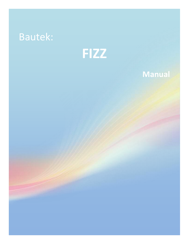# Bautek:



## **Manual**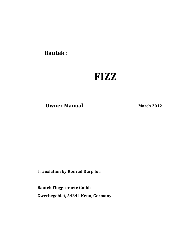**Bautek :** 

## **FIZZ**

**Owner Manual** March 2012

**Translation by Konrad Kurp for:**

 **Bautek Fluggreraete Gmbh**

**Gwerbegebiet, 54344 Kenn, Germany**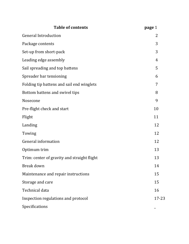| <b>Table of contents</b>                    | page 1         |
|---------------------------------------------|----------------|
| <b>General Introduction</b>                 | 2              |
| Package contents                            | 3              |
| Set-up from short-pack                      | 3              |
| Leading edge assembly                       | $\overline{4}$ |
| Sail spreading and top battens              | 5              |
| Spreader bar tensioning                     | 6              |
| Folding tip battens and sail end winglets   | 7              |
| Bottom battens and swivel tips              | 8              |
| Nosecone                                    | 9              |
| Pre-flight check and start                  | 10             |
| Flight                                      | 11             |
| Landing                                     | 12             |
| Towing                                      | 12             |
| General information                         | 12             |
| Optimum trim                                | 13             |
| Trim: center of gravity and straight flight | 13             |
| Break down                                  | 14             |
| Maintenance and repair instructions         | 15             |
| Storage and care                            | 15             |
| Technical data                              | 16             |
| Inspection regulations and protocol         | 17-23          |
| Specifications                              |                |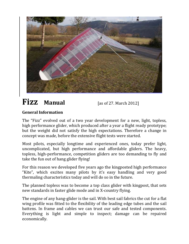

## **Fizz Manual** [as of 27. March 2012]

## **General Information**

The "Fizz" evolved out of a two year development for a new, light, topless, high performance glider, which produced after a year a flight ready prototype; but the weight did not satisfy the high expectations. Therefore a change in concept was made, before the extensive flight tests were started.

Most pilots, especially longtime and experienced ones, today prefer light, uncomplicated, but high performance and affordable gliders. The heavy, topless, high-performance, competition gliders are too demanding to fly and take the fun out of hang glider flying!

For this reason we developed five years ago the kingposted high performance "Kite", which excites many pilots by it's easy handling and very good thermaling characteristics today and will do so in the future.

The planned topless was to become a top class glider with kingpost, that sets new standards in faster glide mode and in X-country flying.

The engine of any hang-glider is the sail. With best sail fabrics the cut for a flat wing profile was fitted to the flexibility of the leading edge tubes and the sail battens. In frame and cables we can trust our safe and tested components. Everything is light and simple to inspect; damage can be repaired economically.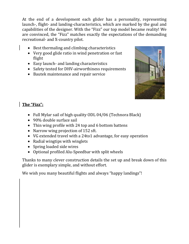At the end of a development each glider has a personality, representing launch-, flight- and landing-characteristics, which are marked by the goal and capabilities of the designer. With the "Fizz" our top model became reality! We are convinced, the "Fizz" matches exactly the expectations of the demanding recreational- and X-country pilot.

- Best thermaling and climbing characteristics
- Very good glide ratio in wind penetration or fast flight
- Easy launch- and landing characteristics
- Safety tested for DHV-airworthiness requirements
- Bautek maintenance and repair service



## **The "Fizz":**

- Full Mylar sail of high quality ODL 04/06 (Technora Black)
- 90% double surface sail
- Thin wing profile with 24 top and 6 bottom battens
- Narrow wing projection of 152 sft.
- VG extended travel with a 24to1 advantage, for easy operation
- Radial wingtips with winglets
- Spring loaded side wires
- Optional profiled Alu-Speedbar with split wheels

Thanks to many clever construction details the set up and break down of this glider is exemplary simple, and without effort.

We wish you many beautiful flights and always "happy landings"!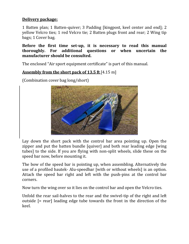#### **Delivery package:**

1 Batten plan; 1 Batten-quiver; 3 Padding [kingpost, keel center and end]; 2 yellow Velcro ties; 1 red Velcro tie; 2 Batten plugs front and rear; 2 Wing tip bags; 1 Cover bag.

**Before the first time set-up, it is necessary to read this manual thoroughly. For additional questions or when uncertain the manufacturer should be consulted.**

The enclosed "Air sport equipment certificate" is part of this manual.

#### **Assembly from the short pack of 13.5 ft** [4.15 m]

(Combination cover bag long/short)



Lay down the short pack with the control bar area pointing up. Open the zipper and put the batten bundle [quiver] and both rear leading edge [wing tubes] to the side. If you are flying with non-split wheels, slide these on the speed bar now, before mounting it.

The bow of the speed bar is pointing up, when assembling. Alternatively the use of a profiled bautek- Alu-speedbar [with or without wheels] is an option. Attach the speed bar right and left with the push-pins at the control bar corners.

Now turn the wing over so it lies on the control bar and open the Velcro ties.

Unfold the rear sail-halves to the rear and the swivel-tip of the right and left outside [= rear] leading edge tube towards the front in the direction of the keel.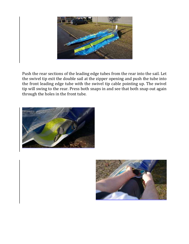

Push the rear sections of the leading edge tubes from the rear into the sail. Let the swivel tip exit the double sail at the zipper opening and push the tube into the front leading edge tube with the swivel tip cable pointing up. The swivel tip will swing to the rear. Press both snaps in and see that both snap out again through the holes in the front tube.



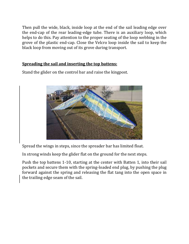Then pull the wide, black, inside loop at the end of the sail leading edge over the end-cap of the rear leading-edge tube. There is an auxiliary loop, which helps to do this. Pay attention to the proper seating of the loop webbing in the grove of the plastic end-cap. Close the Velcro loop inside the sail to keep the black loop from moving out of its grove during transport.

#### **Spreading the sail and inserting the top battens:**

Stand the glider on the control bar and raise the kingpost.



Spread the wings in steps, since the spreader bar has limited float.

In strong winds keep the glider flat on the ground for the next steps.

Push the top battens 1-10, starting at the center with Batten 1, into their sail pockets and secure them with the spring-loaded end plug, by pushing the plug forward against the spring and releasing the flat tang into the open space in the trailing edge seam of the sail.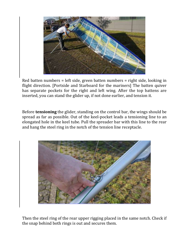

Red batten numbers = left side, green batten numbers = right side, looking in flight direction. [Portside and Starboard for the mariners] The batten quiver has separate pockets for the right and left wing. After the top battens are inserted, you can stand the glider up, if not done earlier, and tension it.

Before **tensioning** the glider, standing on the control bar, the wings should be spread as far as possible. Out of the keel-pocket leads a tensioning line to an elongated hole in the keel tube. Pull the spreader bar with this line to the rear and hang the steel ring in the notch of the tension line receptacle.



Then the steel ring of the rear upper rigging placed in the same notch. Check if the snap behind both rings is out and secures them.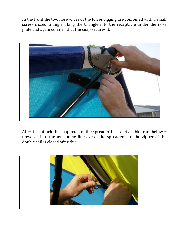In the front the two nose wires of the lower rigging are combined with a small screw closed triangle. Hang the triangle into the receptacle under the nose plate and again confirm that the snap secures it.



After this attach the snap hook of the spreader-bar safety cable from below = upwards into the tensioning line eye at the spreader bar; the zipper of the double sail is closed after this.

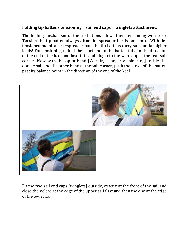#### **Folding tip battens tensioning; sail end caps = winglets attachment:**

The folding mechanism of the tip battens allows their tensioning with ease. Tension the tip batten always **after** the spreader bar is tensioned. With detensioned mainframe [=spreader bar] the tip battens carry substantial higher loads! For tensioning unfold the short end of the batten tube in the direction of the end of the keel and insert its end plug into the web loop at the rear sail corner. Now with the **open** hand [Warning: danger of pinching] inside the double sail and the other hand at the sail corner, push the hinge of the batten past its balance point in the direction of the end of the keel.





Fit the two sail end caps [winglets] outside, exactly at the front of the sail and close the Velcro at the edge of the upper sail first and then the one at the edge of the lower sail.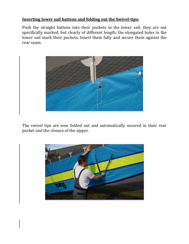#### **Inserting lower sail battens and folding out the Swivel-tips:**

Push the straight battens into their pockets in the lower sail; they are not specifically marked, but clearly of different length; the elongated holes in the lower sail mark their pockets. Insert them fully and secure them against the rear seam.



The swivel tips are now folded out and automatically secured in their rear pocket and the closure of the zipper.

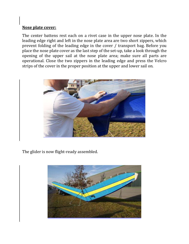#### **Nose plate cover:**

The center battens rest each on a rivet case in the upper nose plate. In the leading edge right and left in the nose plate area are two short zippers, which prevent folding of the leading edge in the cover / transport bag. Before you place the nose plate cover as the last step of the set-up, take a look through the opening of the upper sail at the nose plate area; make sure all parts are operational. Close the two zippers in the leading edge and press the Velcro strips of the cover in the proper position at the upper and lower sail on.



The glider is now flight-ready assembled.

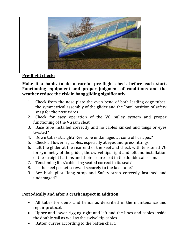

#### **Pre-flight check:**

**Make it a habit, to do a careful pre-flight check before each start. Functioning equipment and proper judgment of conditions and the weather reduce the risk in hang gliding significantly.**

- 1. Check from the nose plate the even bend of both leading edge tubes, the symmetrical assembly of the glider and the "out" position of safety snap for the nose wires.
- 2. Check for easy operation of the VG pulley system and proper functioning of the VG jam cleat.
- 3. Base tube installed correctly and no cables kinked and tangs or eyes twisted?
- 4. Down tubes straight? Keel tube undamaged at control bar apex?
- 5. Check all lower rig cables, especially at eyes and press fittings.
- 6. Lift the glider at the rear end of the keel and check with tensioned VG for symmetry of the glider, the swivel tips right and left and installation of the straight battens and their secure seat in the double sail seam.
- 7. Tensioning line/cable ring seated correct in its seat?
- 8. Is the keel pocket screwed securely to the keel tube?
- 9. Are both pilot Hang strap and Safety strap correctly fastened and undamaged?

#### **Periodically and after a crash inspect in addition:**

- All tubes for dents and bends as described in the maintenance and repair protocol.
- Upper and lower rigging right and left and the lines and cables inside the double sail as well as the swivel tip cables.
- Batten curves according to the batten chart.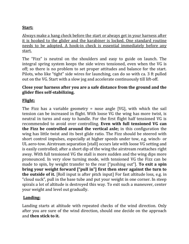#### **Start:**

Always make a hang check before the start or always get in your harness after it is hooked to the glider and the karabiner is locked. One standard routine needs to be adopted. A hook-in check is essential immediately before any start.

The "Fizz" is neutral on the shoulders and easy to guide on launch. The integral spring system keeps the side wires tensioned, even when the VG is off; so there is no problem to set proper attitudes and balance for the start. Pilots, who like "tight" side wires for launching, can do so with ca. 3 ft pulled out on the VG. Start with a slow jog and accelerate continuously till lift-off.

#### **Close your harness after you are a safe distance from the ground and the glider flies self-stabilizing.**

#### **Flight:**

The Fizz has a variable geometry = nose angle [VG], with which the sail tension can be increased in flight. With loose VG the wing has more twist, is neutral in turns and easy to handle. For the first flight half tensioned VG is recommended to avoid over controlling. **Even with full tensioned VG can the Fizz be controlled around the vertical axle;** in this configuration the wing has little twist and its best glide ratio. The Fizz should be steered with short control impulses, especially at higher speeds under tow, e.g. winch- or UL aero-tow. Airstream separation [stall] occurs late with loose VG setting and is easily controlled; after a short dip of the wing the airstream reattaches right away. With full tensioned VG the stall is more sudden and the wing dips more pronounced. In very slow turning mode, with tensioned VG the Fizz can be made to spin, by weight transfer to the rear ["pushing out"]. **To exit a spin bring your weight forward ["pull in"] first then steer against the turn to the outside of it.** [Roll input is after pitch input] For fast altitude loss, e.g. in "cloud suck", pull in the base tube and put your weight in one corner. In steep spirals a lot of altitude is destroyed this way. To exit such a maneuver, center your weight and level out gradually.

#### **Landing:**

Landing starts at altitude with repeated checks of the wind direction. Only after you are sure of the wind direction, should one decide on the approach and **then stick to it.**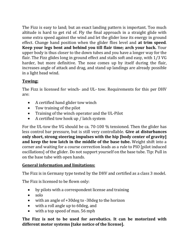The Fizz is easy to land; but an exact landing pattern is important. Too much altitude is hard to get rid of. Fly the final approach in a straight glide with some extra speed against the wind and let the glider lose its energy in ground effect. Change hand position when the glider flies level and **at trim speed**. **Keep your legs bent and behind you till flair time; arch your back.** Your upper body is thus closer to the down tubes and you have a longer way for the flair. The Fizz glides long in ground effect and stalls soft and easy, with 1/3 VG harder, but more definitive. The nose comes up by itself during the flair, increases angle of attack and drag, and stand up landings are already possible in a light head wind.

## **Towing:**

The Fizz is licensed for winch- and UL- tow. Requirements for this per DHV are:

- A certified hand glider tow winch
- Tow training of the pilot
- Training of the winch operator and the UL-Pilot
- A certified tow hook up / latch system

For the UL-tow the VG should be ca. 70-100 % tensioned. Then the glider has less control bar pressure, but is still very controllable. **Give at disturbances only short, strong steering impulses with the hip [body center of gravity] and keep the tow latch in the middle of the base tube.** Weight shift into a corner and waiting for a course correction leads as a rule to PIO [pilot induced oscillations] of the glider. Do not support yourself on the base tube. Tip: Pull in on the base tube with open hands.

#### **General information and limitations:**

The Fizz is in Germany type tested by the DHV and certified as a class 3 model.

The Fizz is licensed to be flown only:

- by pilots with a correspondent license and training
- $\bullet$  solo
- with an angle of +30deg to -30deg to the horizon
- with a roll angle up to 60deg, and
- with a top speed of max. 56 mph

**The Fizz is not to be used for aerobatics. It can be motorized with different motor systems [take notice of the license].**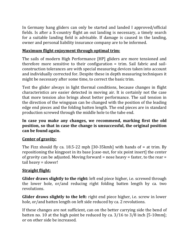In Germany hang gliders can only be started and landed I approved/official fields. Is after a X-country flight an out landing is necessary, a timely search for a suitable landing field is advisable. If damage is caused in the landing, owner and personal liability insurance company are to be informed.

#### **Maximum flight enjoyment through optimal trim:**

The sails of modern High Performance [HP] gliders are more tensioned and therefore more sensitive to their configuration = trim. Sail fabric and sailconstruction tolerances are with special measuring devices taken into account and individually corrected for. Despite these in depth measuring techniques it might be necessary after some time, to correct the basic trim.

Test the glider always in light thermal conditions, because changes in flight characteristics are easier detected in moving air. It is certainly not the case that more tension also brings about better performance. The sail tension in the direction of the wingspan can be changed with the position of the leading edge end pieces and the folding batten length. The end pieces are in standard production screwed through the middle hole to the tube end.

#### **In case you make any changes, we recommend, marking first the old position, so that in case the change is unsuccessful, the original position can be found again.**

#### **Center of gravity:**

The Fizz should fly ca. 18.5-22 mph [30-35kmh] with hands of  $=$  at trim. By repositioning the kingpost in its base [case-nut, for six point insert] the center of gravity can be adjusted. Moving forward = nose heavy = faster, to the rear = tail heavy = slower!

#### **Straight flight:**

**Glider draws slightly to the right:** left end piece higher, i.e. screwed through the lower hole, or/and reducing right folding batten length by ca. two revolutions.

**Glider draws slightly to the left:** right end piece higher, i.e. screw in lower hole, or/and batten length on left side reduced by ca. 2 revolutions.

If these changes are not sufficient, can on the better carrying side the bend of batten no. 10 at the high point be reduced by ca. 3/16 to 3/8 inch [5-10mm]; or on other side be increased.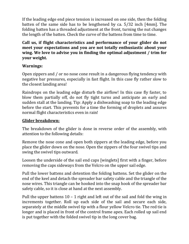If the leading edge end piece tension is increased on one side, then the folding batten of the same side has to be lengthened by ca. 5/32 inch [4mm]. The folding batten has a threaded adjustment at the front, turning the nut changes the length of the batten. Check the curve of the battens from time to time.

**Call us, if flight characteristics and performance of your glider do not meet your expectations and you are not totally enthusiastic about your wing. We love to advise you in finding the optimal adjustment / trim for your weight.** 

#### **Warnings:**

Open zippers and / or no nose cone result in a dangerous flying tendency with negative bar pressures, especially in fast flight. In this case fly rather slow to the closest landing area!

Raindrops on the leading edge disturb the airflow! In this case fly faster, to blow them partially off, do not fly tight turns and anticipate an early and sudden stall at the landing. Tip: Apply a dishwashing soap to the leading edge before the start. This prevents for a time the forming of droplets and assures normal flight characteristics even in rain!

#### **Glider breakdown:**

The breakdown of the glider is done in reverse order of the assembly, with attention to the following details:

Remove the nose cone and open both zippers at the leading edge, before you place the glider down on the nose. Open the zippers of the four swivel tips and swing the swivel tips outward.

Loosen the underside of the sail end caps [winglets] first with a finger, before removing the caps sideways from the Velcro on the upper sail edge.

Pull the lower battens and detention the folding battens. Set the glider on the end of the keel and detach the spreader bar safety cable and the triangle of the nose wires. This triangle can be hooked into the snap hook of the spreader bar safety cable, so it is close at hand at the next assembly.

Pull the upper battens 10 – 1 right and left out of the sail and fold the wing in increments together. Roll up each side of the sail and secure each side, separately at the middle swivel tip with a flour yellow Velcro tie. The red tie is longer and is placed in front of the control frame apex. Each rolled up sail end is put together with the folded swivel tip in the long cover bag.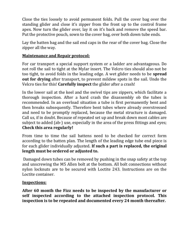Close the ties loosely to avoid permanent folds. Pull the cover bag over the standing glider and close it's zipper from the front up to the control frame apex. Now turn the glider over, lay it on it's back and remove the speed bar. Put the protective pouch, sown to the cover bag, over both down tube ends.

Lay the batten bag and the sail end caps in the rear of the cover bag. Close the zipper all the way.

#### **Maintenance and Repair protocol:**

For car transport a special support system or a ladder are advantageous. Do not roll the sail to tight at the Mylar insert. The Velcro ties should also not be too tight, to avoid folds in the leading edge. A wet glider needs to be **spread out for drying** after transport, to prevent mildew spots in the sail. Undo the Velcro ties for this! **Carefully inspect** the glider after a crash!

In the lower sail at the keel and the swivel tips are zippers, which facilitate a thorough inspection. After a hard crash the disassembly ob the tubes is recommended. In an overload situation a tube is first permanently bent and then breaks subsequently. Therefore bent tubes where already overstressed and need to be promptly replaced, because the metal structure is damaged. Call us, if in doubt. Because of repeated set up and break down most cables are subject to added (ab-) use, especially in the area of the press fittings and eyes; **Check this area regularly!**

From time to time the sail battens need to be checked for correct form according to the batten plan. The length of the leading edge tube end piece is for each glider individually adjusted. **If such a part is replaced, the original length must be ordered or adjusted to.**

Damaged down tubes can be removed by pushing in the snap safety at the top and unscrewing the M5 Allen bolt at the bottom. All bolt connections without nylon locknuts are to be secured with Loctite 243. Instructions are on the Loctite container.

#### **Inspections:**

**After 60 month the Fizz needs to be inspected by the manufacturer or self inspected according to the attached inspection protocol. This inspection is to be repeated and documented every 24 month thereafter.**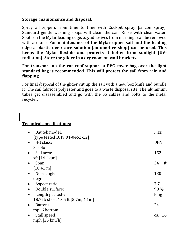#### **Storage, maintenance and disposal:**

Spray all zippers from time to time with Cockpit spray [silicon spray]. Standard gentle washing soaps will clean the sail. Rinse with clear water. Spots on the Mylar leading edge, e.g. adhesives from markings can be removed with acetone. **For maintenance of the Mylar upper sail and the leading edge a plastic deep care solution [automotive shop] can be used. This keeps the Mylar flexible and protects it better from sunlight [UVradiation]. Store the glider in a dry room on wall brackets.**

#### **For transport on the car roof support a PVC cover bag over the light standard bag is recommended. This will protect the sail from rain and flapping.**

For final disposal of the glider cut up the sail with a new box knife and bundle it. The sail fabric is polyester and goes to a waste disposal site. The aluminum tubes get disassembled and go with the SS cables and bolts to the metal recycler.

#### **Technical specifications:**

| Bautek model:                       | Fizz       |
|-------------------------------------|------------|
| [type tested DHV 01-0462-12]        |            |
| HG class:                           | <b>DHV</b> |
| 3, solo                             |            |
| Sail area:                          | 152        |
| sft $[14.1$ qm]                     |            |
| Span:                               | 34<br>ft   |
| $[10.41 \text{ m}]$                 |            |
| Nose angle:                         | 130        |
| degr.                               |            |
| Aspect ratio:                       | 7.7        |
| Double surface:                     | 90 %       |
| Length packed-:                     | long       |
| 18.7 ft; short 13.5 ft [5.7m, 4.1m] |            |
| Battens:                            | 24         |
| top; 6 bottom                       |            |
| Stall speed:                        | ca. 16     |
| mph $[25 \text{ km/h}]$             |            |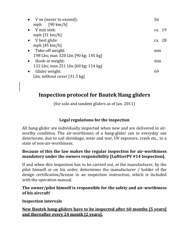| • V ne (never to exceed):            | 56     |
|--------------------------------------|--------|
| mph $[90 \text{ km/h}]$              |        |
| $\bullet$ V min sink:                | ca. 19 |
| mph $[31 \text{ km/h}]$              |        |
| $\bullet$ V best glide:              | ca. 28 |
| mph $[45 \text{ km/h}]$              |        |
| $\bullet$ Take-off weight:           | min    |
| 198 Lbs; max 320 Lbs [90 kg; 145 kg] |        |
| $\bullet$ Hook-in weight:            | min    |
| 132 Lbs; max 251 Lbs [60 kg; 114 kg] |        |
| Glider weight:<br>$\bullet$          | 69     |
| Lbs, without cover [31.5 kg]         |        |

## **Inspection protocol for Bautek Hang gliders**

(for solo and tandem gliders as of Jan. 2011)

## **Legal regulations for the inspection**

All hang-glider are individually inspected when new and are delivered in airworthy condition. The air-worthiness of a hang-glider can in everyday use deteriorate, due to sail shrinkage, wear and tear, UV exposure, crash etc., to a state of non-air-worthiness.

#### **Because of this the law makes the regular inspection for air-worthiness mandatory under the owners responsibility [LuftGerPV #14 Inspection].**

If and when this inspection has to be carried out, at the manufacturer, by the pilot himself or on his order, determines the manufacturer / holder of the design certification/license in an inspection instruction, which is included with the operation manual.

**The owner/pilot himself is responsible for the safety and air-worthiness of his aircraft!**

**Inspection intervals**

**New Bautek hang-gliders have to be inspected after 60 months [5 years] and thereafter every 24 month [2 years].**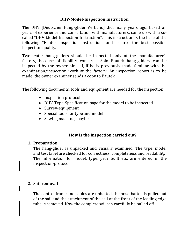#### **DHV-Model-Inspection Instruction**

The DHV [Deutscher Hang-glider Verband] did, many years ago, based on years of experience and consultation with manufacturers, come up with a socalled "DHV-Model-Inspection-Instruction". This instruction is the base of the following "Bautek inspection instruction" and assures the best possible inspection quality.

Two-seater hang-gliders should be inspected only at the manufacturer's factory, because of liability concerns. Solo Bautek hang-gliders can be inspected by the owner himself, if he is previously made familiar with the examination/inspection work at the factory. An inspection report is to be made; the owner examiner sends a copy to Bautek.

The following documents, tools and equipment are needed for the inspection:

- Inspection protocol
- DHV-Type-Specification page for the model to be inspected
- Survey-equipment
- Special tools for type and model
- Sewing machine, maybe

#### **How is the inspection carried out?**

#### **1. Preparation**

The hang-glider is unpacked and visually examined. The type, model and test label are checked for correctness, completeness and readability. The information for model, type, year built etc. are entered in the inspection-protocol.

#### **2. Sail removal**

The control frame and cables are unbolted, the nose-batten is pulled out of the sail and the attachment of the sail at the front of the leading edge tube is removed. Now the complete sail can carefully be pulled off.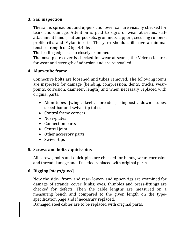#### **3. Sail inspection**

The sail is spread out and upper- and lower sail are visually checked for tears and damage. Attention is paid to signs of wear at seams, sailattachment bands, batten-pockets, grommets, zippers, securing rubbers, profile-ribs and Mylar inserts. The yarn should still have a minimal tensile strength of 2 kg [4.4 lbs].

The leading edge is also closely examined.

The nose-plate cover is checked for wear at seams, the Velcro closures for wear and strength of adhesion and are reinstalled.

#### **4. Alum-tube frame**

Connective bolts are loosened and tubes removed. The following items are inspected for damage [bending, compression, dents, cracks, wearpoints, corrosion, diameter, length] and when necessary replaced with original parts:

- Alum-tubes [wing-, keel-, spreader-, kingpost-, down- tubes, speed-bar and swivel-tip tubes]
- Control frame corners
- Nose-plates
- Connection parts
- Central joint
- Other accessory parts
- Swivel-tips

#### **5. Screws and bolts / quick-pins**

All screws, bolts and quick-pins are checked for bends, wear, corrosion and thread damage and if needed replaced with original parts.

#### **6. Rigging [stays/guys]**

Now the side-, front- and rear- lower- and upper-rigs are examined for damage of strands, cover, kinks; eyes, thimbles and press-fittings are checked for defects. Then the cable lengths are measured on a measuring bench and compared to the given length on the typespecification page and if necessary replaced.

Damaged steel cables are to be replaced with original parts.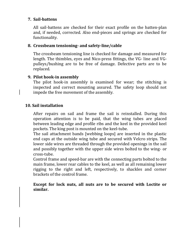#### **7. Sail-battens**

All sail-battens are checked for their exact profile on the batten-plan and, if needed, corrected. Also end-pieces and springs are checked for functionality.

#### **8. Crossbeam tensioning- and safety-line/cable**

The crossbeam tensioning line is checked for damage and measured for length. The thimbles, eyes and Nico-press fittings, the VG- line and VGpulleys/bushing are to be free of damage. Defective parts are to be replaced.

#### **9. Pilot hook-in assembly**

The pilot hook-in assembly is examined for wear; the stitching is inspected and correct mounting assured. The safety loop should not impede the free movement of the assembly.

#### **10. Sail installation**

After repairs on sail and frame the sail is reinstalled. During this operation attention is to be paid, that the wing tubes are placed between leading edge and profile ribs and the keel in the provided keel pockets. The king post is mounted on the keel-tube.

The sail attachment bands [webbing loops] are inserted in the plastic end caps at the outside wing tube and secured with Velcro strips. The lower side wires are threaded through the provided openings in the sail and possibly together with the upper side wires bolted to the wing- or cross-tube.

Control frame and speed-bar are with the connecting parts bolted to the main frame, lower rear cables to the keel, as well as all remaining lower rigging to the right and left, respectively, to shackles and corner brackets of the control frame.

**Except for lock nuts, all nuts are to be secured with Loctite or similar.**